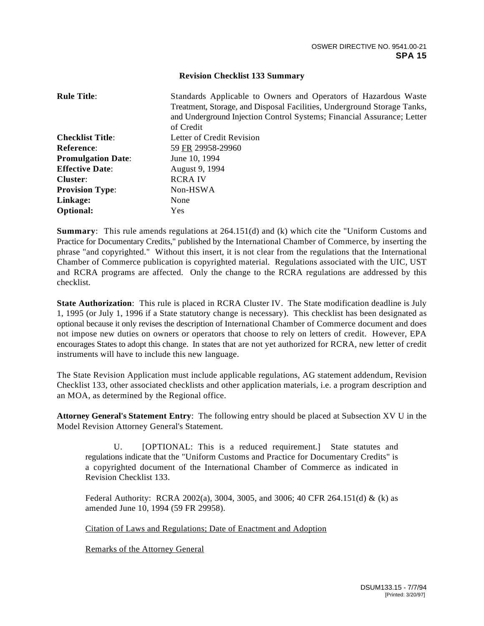## **Revision Checklist 133 Summary**

| <b>Rule Title:</b>        | Standards Applicable to Owners and Operators of Hazardous Waste<br>Treatment, Storage, and Disposal Facilities, Underground Storage Tanks,<br>and Underground Injection Control Systems; Financial Assurance; Letter<br>of Credit |
|---------------------------|-----------------------------------------------------------------------------------------------------------------------------------------------------------------------------------------------------------------------------------|
| <b>Checklist Title:</b>   | Letter of Credit Revision                                                                                                                                                                                                         |
| Reference:                | 59 FR 29958-29960                                                                                                                                                                                                                 |
| <b>Promulgation Date:</b> | June 10, 1994                                                                                                                                                                                                                     |
| <b>Effective Date:</b>    | August 9, 1994                                                                                                                                                                                                                    |
| Cluster:                  | <b>RCRAIV</b>                                                                                                                                                                                                                     |
| <b>Provision Type:</b>    | Non-HSWA                                                                                                                                                                                                                          |
| Linkage:                  | None                                                                                                                                                                                                                              |
| Optional:                 | Yes                                                                                                                                                                                                                               |

**Summary**: This rule amends regulations at 264.151(d) and (k) which cite the "Uniform Customs and Practice for Documentary Credits," published by the International Chamber of Commerce, by inserting the phrase "and copyrighted." Without this insert, it is not clear from the regulations that the International Chamber of Commerce publication is copyrighted material. Regulations associated with the UIC, UST and RCRA programs are affected. Only the change to the RCRA regulations are addressed by this checklist.

**State Authorization**: This rule is placed in RCRA Cluster IV. The State modification deadline is July 1, 1995 (or July 1, 1996 if a State statutory change is necessary). This checklist has been designated as optional because it only revises the description of International Chamber of Commerce document and does not impose new duties on owners or operators that choose to rely on letters of credit. However, EPA encourages States to adopt this change. In states that are not yet authorized for RCRA, new letter of credit instruments will have to include this new language.

The State Revision Application must include applicable regulations, AG statement addendum, Revision Checklist 133, other associated checklists and other application materials, i.e. a program description and an MOA, as determined by the Regional office.

**Attorney General's Statement Entry**: The following entry should be placed at Subsection XV U in the Model Revision Attorney General's Statement.

U. [OPTIONAL: This is a reduced requirement.] State statutes and regulations indicate that the "Uniform Customs and Practice for Documentary Credits" is a copyrighted document of the International Chamber of Commerce as indicated in Revision Checklist 133.

Federal Authority: RCRA 2002(a), 3004, 3005, and 3006; 40 CFR 264.151(d) & (k) as amended June 10, 1994 (59 FR 29958).

Citation of Laws and Regulations; Date of Enactment and Adoption

Remarks of the Attorney General